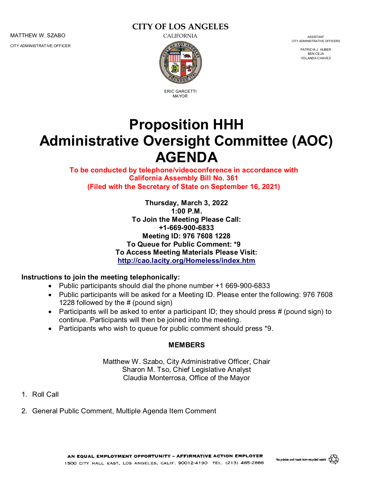MATTHEW W. SZABO CALIFORNIA ASSISTANT

CITY ADMINISTRATIVE OFFICER

# **CITY OF LOS ANGELES**



ERIC GARCETTI MAYOR

CITY ADMINISTRATIVE OFFICERS

PATRICIA J. HUBER BEN CEJA YOLANDA CHAVEZ

# **Proposition HHH Administrative Oversight Committee (AOC) AGENDA**

**To be conducted by telephone/videoconference in accordance with California Assembly Bill No. 361 (Filed with the Secretary of State on September 16, 2021)**

> **Thursday, March 3, 2022 1:00 P.M. To Join the Meeting Please Call: +1-669-900-6833 Meeting ID: 976 7608 1228 To Queue for Public Comment: \*9 To Access Meeting Materials Please Visit: <http://cao.lacity.org/Homeless/index.htm>**

#### **Instructions to join the meeting telephonically:**

- Public participants should dial the phone number +1 669-900-6833
- Public participants will be asked for a Meeting ID. Please enter the following: 976 7608 1228 followed by the # (pound sign)
- Participants will be asked to enter a participant ID; they should press  $#$  (pound sign) to continue. Participants will then be joined into the meeting.
- Participants who wish to queue for public comment should press \*9.

#### **MEMBERS**

Matthew W. Szabo, City Administrative Officer, Chair Sharon M. Tso, Chief Legislative Analyst Claudia Monterrosa, Office of the Mayor

- 1. Roll Call
- 2. General Public Comment, Multiple Agenda Item Comment

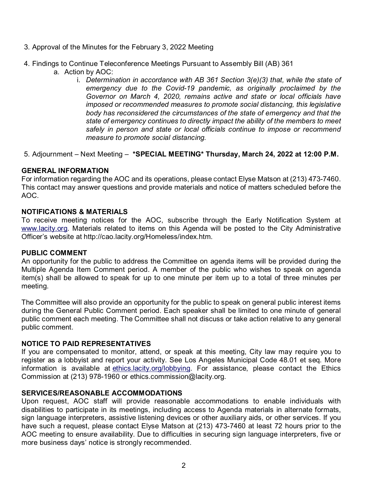- 3. Approval of the Minutes for the February 3, 2022 Meeting
- 4. Findings to Continue Teleconference Meetings Pursuant to Assembly Bill (AB) 361
	- a. Action by AOC:
		- i. *Determination in accordance with AB 361 Section 3(e)(3) that, while the state of emergency due to the Covid-19 pandemic, as originally proclaimed by the Governor on March 4, 2020, remains active and state or local officials have imposed or recommended measures to promote social distancing, this legislative body has reconsidered the circumstances of the state of emergency and that the state of emergency continues to directly impact the ability of the members to meet safely in person and state or local officials continue to impose or recommend measure to promote social distancing.*

#### 5. Adjournment – Next Meeting – **\*SPECIAL MEETING\* Thursday, March 24, 2022 at 12:00 P.M.**

#### **GENERAL INFORMATION**

For information regarding the AOC and its operations, please contact Elyse Matson at (213) 473-7460. This contact may answer questions and provide materials and notice of matters scheduled before the AOC.

#### **NOTIFICATIONS & MATERIALS**

To receive meeting notices for the AOC, subscribe through the Early Notification System at [www.lacity.org.](http://www.lacity.org/) Materials related to items on this Agenda will be posted to the City Administrative Officer's website at http://cao.lacity.org/Homeless/index.htm.

#### **PUBLIC COMMENT**

An opportunity for the public to address the Committee on agenda items will be provided during the Multiple Agenda Item Comment period. A member of the public who wishes to speak on agenda item(s) shall be allowed to speak for up to one minute per item up to a total of three minutes per meeting.

The Committee will also provide an opportunity for the public to speak on general public interest items during the General Public Comment period. Each speaker shall be limited to one minute of general public comment each meeting. The Committee shall not discuss or take action relative to any general public comment.

#### **NOTICE TO PAID REPRESENTATIVES**

If you are compensated to monitor, attend, or speak at this meeting, City law may require you to register as a lobbyist and report your activity. See Los Angeles Municipal Code 48.01 et seq. More information is available at ethics.lacity.org/lobbying. For assistance, please contact the Ethics Commission at (213) 978-1960 or ethics.commission@lacity.org.

### **SERVICES/REASONABLE ACCOMMODATIONS**

Upon request, AOC staff will provide reasonable accommodations to enable individuals with disabilities to participate in its meetings, including access to Agenda materials in alternate formats, sign language interpreters, assistive listening devices or other auxiliary aids, or other services. If you have such a request, please contact Elyse Matson at (213) 473-7460 at least 72 hours prior to the AOC meeting to ensure availability. Due to difficulties in securing sign language interpreters, five or more business days' notice is strongly recommended.